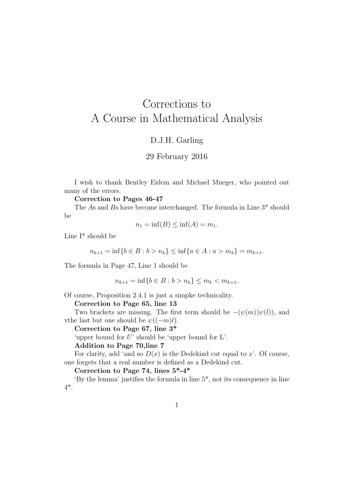# Corrections to A Course in Mathematical Analysis

## D.J.H. Garling

## 29 February 2016

I wish to thank Bentley Eidem and Michael Mueger, who pointed out many of the errors.

#### Correction to Pages 46-47

The As and Bs have become interchanged. The formula in Line 3\* should be

$$
n_1 = \inf(B) \le \inf(A) = m_1.
$$

Line I\* should be

$$
n_{k+1} = \inf\{b \in B : b > n_k\} \le \inf\{a \in A : a > m_k\} = m_{k+1}.
$$

The formula in Page 47, Line 1 should be

$$
n_{k+1} = \inf\{b \in B : b > n_k\} \le m_k < m_{k+1}.
$$

Of course, Proposition 2.4.1 is just a simpke technicality.

Correction to Page 65, line 13

Two brackets are missing. The first term should be  $-(\psi(m))\psi(l)$ , and vthe last but one should be  $\psi((-m)l)$ .

Correction to Page 67, line 3\*

'upper bound for U' should be 'upper bound for L'.

Addition to Page 70,line 7

For clarity, add 'and so  $D(x)$  is the Dedekind cut equal to x'. Of course, one forgets that a real number is defined as a Dedekind cut.

Correction to Page 74, lines  $5^*$ -4\*

'By the lemma' justifies the formula in line  $5^*$ , not its consequence in line 4\*.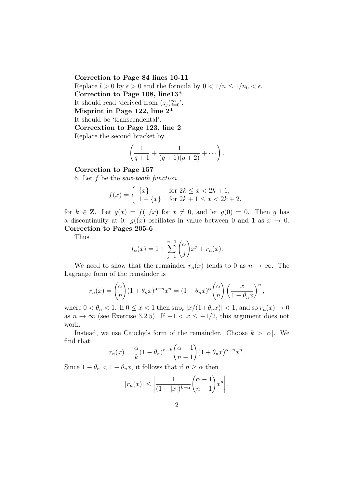#### Correction to Page 84 lines 10-11

Replace  $l > 0$  by  $\epsilon > 0$  and the formula by  $0 < 1/n \leq 1/n_0 < \epsilon$ . Correction to Page 108, line13\*

It should read 'derived from  $(z_j)_{j=0}^{\infty}$ '.

Misprint in Page 122, line  $2^*$ 

It should be 'transcendental'.

Correcxtion to Page 123, line 2

Replace the second bracket by

$$
\left(\frac{1}{q+1}+\frac{1}{(q+1)(q+2)}+\cdots\right).
$$

## Correction to Page 157

6. Let  $f$  be the saw-tooth function

$$
f(x) = \begin{cases} \{x\} & \text{for } 2k \le x < 2k + 1, \\ 1 - \{x\} & \text{for } 2k + 1 \le x < 2k + 2, \end{cases}
$$

for  $k \in \mathbb{Z}$ . Let  $q(x) = f(1/x)$  for  $x \neq 0$ , and let  $q(0) = 0$ . Then q has a discontinuity at 0:  $q(x)$  oscillates in value between 0 and 1 as  $x \to 0$ . Correction to Pages 205-6

Thus

$$
f_{\alpha}(x) = 1 + \sum_{j=1}^{n-1} {\alpha \choose j} x^j + r_n(x).
$$

We need to show that the remainder  $r_n(x)$  tends to 0 as  $n \to \infty$ . The Lagrange form of the remainder is

$$
r_n(x) = \binom{\alpha}{n} (1 + \theta_n x)^{\alpha - n} x^n = (1 + \theta_n x)^{\alpha} \binom{\alpha}{n} \left(\frac{x}{1 + \theta_n x}\right)^n,
$$

where  $0 < \theta_n < 1$ . If  $0 \le x < 1$  then  $\sup_n |x/(1+\theta_n x)| < 1$ , and so  $r_n(x) \to 0$ as  $n \to \infty$  (see Exercise 3.2.5). If  $-1 < x \le -1/2$ , this argument does not work.

Instead, we use Cauchy's form of the remainder. Choose  $k > |\alpha|$ . We find that

$$
r_n(x) = \frac{\alpha}{k} (1 - \theta_n)^{n-k} \binom{\alpha - 1}{n - 1} (1 + \theta_n x)^{\alpha - n} x^n.
$$

Since  $1 - \theta_n < 1 + \theta_n x$ , it follows that if  $n \geq \alpha$  then

$$
|r_n(x)| \le \left| \frac{1}{(1-|x|)^{k-\alpha}} \binom{\alpha-1}{n-1} x^n \right|,
$$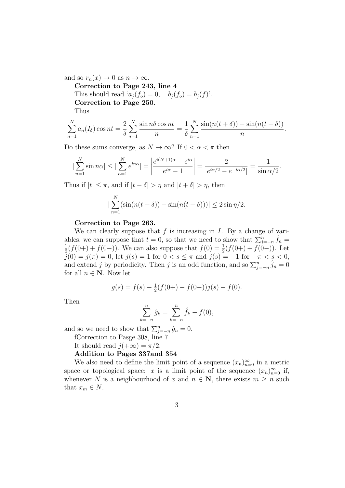and so  $r_n(x) \to 0$  as  $n \to \infty$ .

Correction to Page 243, line 4 This should read ' $a_i(f_o) = 0$ ,  $b_i(f_o) = b_i(f)$ '. Correction to Page 250.

Thus

$$
\sum_{n=1}^{N} a_n(I_\delta) \cos nt = \frac{2}{\delta} \sum_{n=1}^{N} \frac{\sin n\delta \cos nt}{n} = \frac{1}{\delta} \sum_{n=1}^{N} \frac{\sin(n(t+\delta)) - \sin(n(t-\delta))}{n}.
$$

Do these sums converge, as  $N \to \infty$ ? If  $0 < \alpha < \pi$  then

$$
\left|\sum_{n=1}^{N} \sin n\alpha\right| \le \left|\sum_{n=1}^{N} e^{in\alpha}\right| = \left|\frac{e^{i(N+1)\alpha} - e^{i\alpha}}{e^{i\alpha} - 1}\right| = \frac{2}{|e^{i\alpha/2} - e^{-i\alpha/2}|} = \frac{1}{\sin \alpha/2}.
$$

Thus if  $|t| \leq \pi$ , and if  $|t - \delta| > \eta$  and  $|t + \delta| > \eta$ , then

$$
\left|\sum_{n=1}^{N} (\sin(n(t+\delta)) - \sin(n(t-\delta)))\right| \le 2\sin(\eta/2).
$$

#### Correction to Page 263.

We can clearly suppose that  $f$  is increasing in  $I$ . By a change of variables, we can suppose that  $t = 0$ , so that we need to show that  $\sum_{j=-n}^{n} \hat{f}_n =$ 1  $\frac{1}{2}(f(0+)+f(0-))$ . We can also suppose that  $f(0) = \frac{1}{2}(f(0+)+f(0-))$ . Let  $\overline{j}(0) = j(\pi) = 0$ , let  $j(s) = 1$  for  $0 < s \leq \pi$  and  $j(s) = -1$  for  $-\pi < s < 0$ , and extend j by periodicity. Then j is an odd function, and so  $\sum_{j=-n}^{n} \hat{j}_n = 0$ for all  $n \in \mathbb{N}$ . Now let

$$
g(s) = f(s) - \frac{1}{2}(f(0+) - f(0-))j(s) - f(0).
$$

Then

$$
\sum_{k=-n}^{n} \hat{g}_k = \sum_{k=-n}^{n} \hat{f}_k - f(0),
$$

and so we need to show that  $\sum_{j=-n}^{n} \hat{g}_n = 0$ .

f Correction to Pasge 308, line 7

**It should read**  $j(+\infty) = \pi/2$ .

Addition to Pages 337and 354

We also need to define the limit point of a sequence  $(x_n)_{n=0}^{\infty}$  in a metric space or topological space: x is a limit point of the sequence  $(x_n)_{n=0}^{\infty}$  if, whenever N is a neighbourhood of x and  $n \in \mathbb{N}$ , there exists  $m \geq n$  such that  $x_m \in N$ .